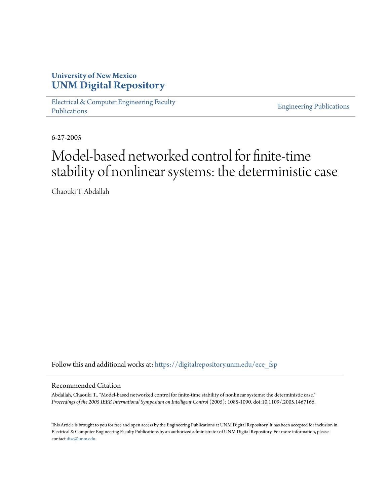# **University of New Mexico [UNM Digital Repository](https://digitalrepository.unm.edu?utm_source=digitalrepository.unm.edu%2Fece_fsp%2F50&utm_medium=PDF&utm_campaign=PDFCoverPages)**

[Electrical & Computer Engineering Faculty](https://digitalrepository.unm.edu/ece_fsp?utm_source=digitalrepository.unm.edu%2Fece_fsp%2F50&utm_medium=PDF&utm_campaign=PDFCoverPages) [Publications](https://digitalrepository.unm.edu/ece_fsp?utm_source=digitalrepository.unm.edu%2Fece_fsp%2F50&utm_medium=PDF&utm_campaign=PDFCoverPages)

[Engineering Publications](https://digitalrepository.unm.edu/eng_fsp?utm_source=digitalrepository.unm.edu%2Fece_fsp%2F50&utm_medium=PDF&utm_campaign=PDFCoverPages)

6-27-2005

# Model-based networked control for finite-time stability of nonlinear systems: the deterministic case

Chaouki T. Abdallah

Follow this and additional works at: [https://digitalrepository.unm.edu/ece\\_fsp](https://digitalrepository.unm.edu/ece_fsp?utm_source=digitalrepository.unm.edu%2Fece_fsp%2F50&utm_medium=PDF&utm_campaign=PDFCoverPages)

## Recommended Citation

Abdallah, Chaouki T.. "Model-based networked control for finite-time stability of nonlinear systems: the deterministic case." *Proceedings of the 2005 IEEE International Symposium on Intelligent Control* (2005): 1085-1090. doi:10.1109/.2005.1467166.

This Article is brought to you for free and open access by the Engineering Publications at UNM Digital Repository. It has been accepted for inclusion in Electrical & Computer Engineering Faculty Publications by an authorized administrator of UNM Digital Repository. For more information, please contact [disc@unm.edu.](mailto:disc@unm.edu)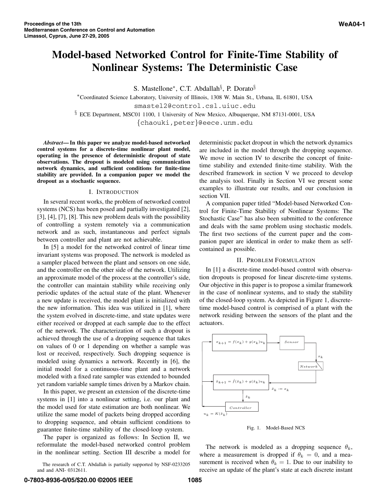# **Model-based Networked Control for Finite-Time Stability of Nonlinear Systems: The Deterministic Case**

S. Mastellone<sup>∗</sup>, C.T. Abdallah<sup>§</sup>, P. Dorato<sup>§</sup>

<sup>∗</sup>Coordinated Science Laboratory, University of Illinois, 1308 W. Main St., Urbana, IL 61801, USA smastel2@control.csl.uiuc.edu <sup>§</sup> ECE Department, MSC01 1100, 1 University of New Mexico, Albuquerque, NM 87131-0001, USA

{chaouki,peter}@eece.unm.edu

*Abstract***— In this paper we analyze model-based networked control systems for a discrete-time nonlinear plant model, operating in the presence of deterministic dropout of state observations. The dropout is modeled using communication network dynamics, and sufficient conditions for finite-time stability are provided. In a companion paper we model the dropout as a stochastic sequence.**

#### I. INTRODUCTION

In several recent works, the problem of networked control systems (NCS) has been posed and partially investigated [2], [3], [4], [7], [8]. This new problem deals with the possibility of controlling a system remotely via a communication network and as such, instantaneous and perfect signals between controller and plant are not achievable.

In [5] a model for the networked control of linear time invariant systems was proposed. The network is modeled as a sampler placed between the plant and sensors on one side, and the controller on the other side of the network. Utilizing an approximate model of the process at the controller's side, the controller can maintain stability while receiving only periodic updates of the actual state of the plant. Whenever a new update is received, the model plant is initialized with the new information. This idea was utilized in [1], where the system evolved in discrete-time, and state updates were either received or dropped at each sample due to the effect of the network. The characterization of such a dropout is achieved through the use of a dropping sequence that takes on values of 0 or 1 depending on whether a sample was lost or received, respectively. Such dropping sequence is modeled using dynamics a network. Recently in [6], the initial model for a continuous-time plant and a network modeled with a fixed rate sampler was extended to bounded yet random variable sample times driven by a Markov chain.

In this paper, we present an extension of the discrete-time systems in [1] into a nonlinear setting, i.e. our plant and the model used for state estimation are both nonlinear. We utilize the same model of packets being dropped according to dropping sequence, and obtain sufficient conditions to guarantee finite-time stability of the closed-loop system.

The paper is organized as follows: In Section II, we reformulate the model-based networked control problem in the nonlinear setting. Section III describe a model for

The research of C.T. Abdallah is partially supported by NSF-0233205 and and ANI- 0312611.

deterministic packet dropout in which the network dynamics are included in the model through the dropping sequence. We move in section IV to describe the concept of finitetime stability and extended finite-time stability. With the described framework in section V we proceed to develop the analysis tool. Finally in Section VI we present some examples to illustrate our results, and our conclusion in section VII.

A companion paper titled "Model-based Networked Control for Finite-Time Stability of Nonlinear Systems: The Stochastic Case" has also been submitted to the conference and deals with the same problem using stochastic models. The first two sections of the current paper and the companion paper are identical in order to make them as selfcontained as possible.

#### II. PROBLEM FORMULATION

In [1] a discrete-time model-based control with observation dropouts is proposed for linear discrete-time systems. Our objective in this paper is to propose a similar framework in the case of nonlinear systems, and to study the stability of the closed-loop system. As depicted in Figure 1, discretetime model-based control is comprised of a plant with the network residing between the sensors of the plant and the actuators.



Fig. 1. Model-Based NCS

The network is modeled as a dropping sequence  $\theta_k$ , where a measurement is dropped if  $\theta_k = 0$ , and a measurement is received when  $\theta_k = 1$ . Due to our inability to receive an update of the plant's state at each discrete instant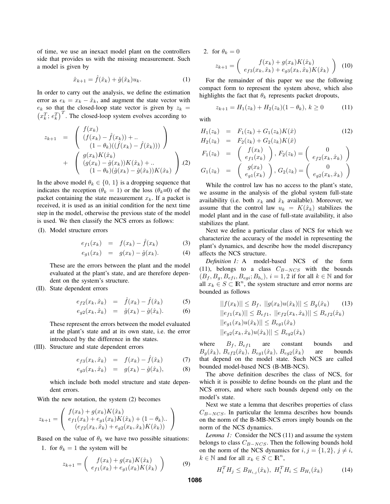of time, we use an inexact model plant on the controllers side that provides us with the missing measurement. Such a model is given by

$$
\hat{x}_{k+1} = \hat{f}(\hat{x}_k) + \hat{g}(\hat{x}_k)u_k.
$$
 (1)

In order to carry out the analysis, we define the estimation error as  $e_k = x_k - \hat{x}_k$ , and augment the state vector with  $e_k$  so that the closed-loop state vector is given by  $z_k =$  $e_k$  so that the closed-loop state vector is given by  $z_k = (x_k^T; e_k^T)^T$ . The closed-loop system evolves according to

$$
z_{k+1} = \begin{pmatrix} f(x_k) \\ (f(x_k) - \hat{f}(x_k)) + \dots \\ (1 - \theta_k)((\hat{f}(x_k) - \hat{f}(\hat{x}_k))) \\ + \left( \begin{array}{c} g(x_k)K(\hat{x}_k) \\ (g(x_k) - \hat{g}(x_k))K(\hat{x}_k) + \dots \\ (1 - \theta_k)(\hat{g}(x_k) - \hat{g}(\hat{x}_k))K(\hat{x}_k) \end{array} \right). (2)
$$

In the above model  $\theta_k \in \{0, 1\}$  is a dropping sequence that indicates the reception ( $\theta_k = 1$ ) or the loss ( $\theta_k=0$ ) of the packet containing the state measurement  $x_k$ . If a packet is received, it is used as an initial condition for the next time step in the model, otherwise the previous state of the model is used. We then classify the NCS errors as follows:

(I). Model structure errors

$$
e_{f1}(x_k) = f(x_k) - f(x_k) \tag{3}
$$

$$
e_{g1}(x_k) = g(x_k) - \hat{g}(x_k). \tag{4}
$$

These are the errors between the plant and the model evaluated at the plant's state, and are therefore dependent on the system's structure.

(II). State dependent errors

$$
e_{f2}(x_k, \hat{x}_k) = \hat{f}(x_k) - \hat{f}(\hat{x}_k)
$$
 (5)

$$
e_{g2}(x_k, \hat{x}_k) = \hat{g}(x_k) - \hat{g}(\hat{x}_k). \tag{6}
$$

These represent the errors between the model evaluated at the plant's state and at its own state, i.e. the error introduced by the difference in the states.

(III). Structure and state dependent errors

$$
e_{f3}(x_k, \hat{x}_k) = f(x_k) - \hat{f}(\hat{x}_k) \tag{7}
$$

$$
e_{g3}(x_k, \hat{x}_k) = g(x_k) - \hat{g}(\hat{x}_k),
$$
 (8)

which include both model structure and state dependent errors.

With the new notation, the system (2) becomes

$$
z_{k+1} = \begin{pmatrix} f(x_k) + g(x_k)K(\hat{x}_k) \\ e_{f1}(x_k) + e_{g1}(x_k)K(\hat{x}_k) + (1 - \theta_k). \\ (e_{f2}(x_k, \hat{x}_k) + e_{g2}(x_k, \hat{x}_k)K(\hat{x}_k)) \end{pmatrix}
$$

Based on the value of  $\theta_k$  we have two possible situations:

1. for  $\theta_k = 1$  the system will be

$$
z_{k+1} = \begin{pmatrix} f(x_k) + g(x_k)K(\hat{x}_k) \\ e_{f1}(x_k) + e_{g1}(x_k)K(\hat{x}_k) \end{pmatrix}
$$
 (9)

2. for  $\theta_k = 0$ 

$$
z_{k+1} = \begin{pmatrix} f(x_k) + g(x_k)K(\hat{x}_k) \\ e_{f3}(x_k, \hat{x}_k) + e_{g3}(x_k, \hat{x}_k)K(\hat{x}_k) \end{pmatrix}
$$
 (10)

For the remainder of this paper we use the following compact form to represent the system above, which also highlights the fact that  $\theta_k$  represents packet dropouts,

$$
z_{k+1} = H_1(z_k) + H_2(z_k)(1 - \theta_k), k \ge 0 \tag{11}
$$

with

$$
H_1(z_k) = F_1(z_k) + G_1(z_k)K(\hat{x}) \tag{12}
$$

$$
H_2(z_k) = F_2(z_k) + G_2(z_k)K(\hat{x})
$$
  
\n
$$
F_1(z_k) = \begin{pmatrix} f(x_k) \\ e_{f1}(x_k) \end{pmatrix}, F_2(z_k) = \begin{pmatrix} 0 \\ e_{f2}(x_k, \hat{x}_k) \end{pmatrix}
$$
  
\n
$$
G_1(z_k) = \begin{pmatrix} g(x_k) \\ e_{g1}(x_k) \end{pmatrix}, G_2(z_k) = \begin{pmatrix} 0 \\ e_{g2}(x_k, \hat{x}_k) \end{pmatrix}
$$

While the control law has no access to the plant's state, we assume in the analysis of the global system full-state availability (i.e. both  $x_k$  and  $\hat{x}_k$  available). Moreover, we assume that the control law  $u_k = K(\hat{x}_k)$  stabilizes the model plant and in the case of full-state availability, it also stabilizes the plant.

Next we define a particular class of NCS for which we characterize the accuracy of the model in representing the plant's dynamics, and describe how the model discrepancy affects the NCS structure.

*Definition 1:* A model-based NCS of the form (11), belongs to a class  $C_{B-NCS}$  with the bounds  $(B_f, B_g, B_{efi}, B_{egi}; B_{h_i}), i = 1, 2$  if for all  $k \in \mathbb{N}$  and for all  $x_k \in S \subset \mathbb{R}^n$ , the system structure and error norms are bounded as follows

$$
||f(x_k)|| \le B_f, \quad ||g(x_k)u(\hat{x}_k)|| \le B_g(\hat{x}_k) \tag{13}
$$
  
\n
$$
||e_{f1}(x_k)|| \le B_{ef1}, \quad ||e_{f2}(x_k, \hat{x}_k)|| \le B_{ef2}(\hat{x}_k)
$$
  
\n
$$
||e_{g1}(x_k)u(\hat{x}_k)|| \le B_{eg1}(\hat{x}_k)
$$
  
\n
$$
||e_{g2}(x_k, \hat{x}_k)u(\hat{x}_k)|| \le B_{eg2}(\hat{x}_k)
$$

where  $B_f$ ,  $B_{ef1}$  are constant bounds and  $B_q(\hat{x}_k)$ ,  $B_{ef2}(\hat{x}_k)$ ,  $B_{eg1}(\hat{x}_k)$ ,  $B_{eg2}(\hat{x}_k)$  are bounds that depend on the model state. Such NCS are called bounded model-based NCS (B-MB-NCS).

The above definition describes the class of NCS, for which it is possible to define bounds on the plant and the NCS errors, and where such bounds depend only on the model's state.

Next we state a lemma that describes properties of class  $C_{B-NCS}$ . In particular the lemma describes how bounds on the norm of the B-MB-NCS errors imply bounds on the norm of the NCS dynamics.

*Lemma 1:* Consider the NCS (11) and assume the system belongs to class  $C_{B-NCS}$ . Then the following bounds hold on the norm of the NCS dynamics for  $i, j = \{1, 2\}, j \neq i$ ,  $k \in \mathbb{N}$  and for all  $x_k \in S \subset \mathbb{R}^n$ ,

$$
H_i^T H_j \le B_{H_{i,j}}(\hat{x}_k), \ H_i^T H_i \le B_{H_i}(\hat{x}_k) \tag{14}
$$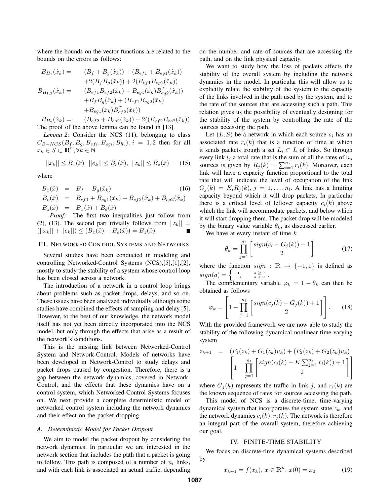where the bounds on the vector functions are related to the bounds on the errors as follows:

$$
B_{H_1}(\hat{x}_k) = (B_f + B_g(\hat{x}_k)) + (B_{ef1} + B_{eg1}(\hat{x}_k))
$$
  
\n
$$
+ 2(B_f B_g(\hat{x}_k)) + 2(B_{ef1} B_{eg1}(\hat{x}_k))
$$
  
\n
$$
B_{H_{1,2}}(\hat{x}_k) = (B_{ef1} B_{ef2}(\hat{x}_k) + B_{eg1}(\hat{x}_k) B_{eg2}^T(\hat{x}_k))
$$
  
\n
$$
+ B_f B_g(\hat{x}_k) + (B_{ef1} B_{eg2}(\hat{x}_k))
$$
  
\n
$$
+ B_{eg1}(\hat{x}_k) B_{ef2}^T(\hat{x}_k))
$$
  
\n
$$
B_{H_2}(\hat{x}_k) = (B_{ef2} + B_{eg2}(\hat{x}_k)) + 2((B_{ef2} B_{eg2}(\hat{x}_k))
$$

 $B_{H_2}(\hat{x}_k) = (B_{ef2} + B_{eg2}(\hat{x}_k)) + 2((B_{ef2}B_{eg2}(\hat{x}_k)))$ <br>The proof of the above lemma can be found in [13].

*Lemma 2:* Consider the NCS (11), belonging to class  $C_{B-NCS}(B_f, B_g, B_{efi}, B_{egi}; B_{h_i}), i = 1,2$  then for all  $x_k \in S \subset \mathbb{R}^n, \forall k \in \mathbb{N}$ 

$$
||x_k|| \le B_x(\hat{x}) ||e_k|| \le B_e(\hat{x}), ||z_k|| \le B_z(\hat{x}) \qquad (15)
$$

where

$$
B_x(\hat{x}) = B_f + B_g(\hat{x}_k)
$$
(16)  
\n
$$
B_e(\hat{x}) = B_{ef1} + B_{eg1}(\hat{x}_k) + B_{ef2}(\hat{x}_k) + B_{eg2}(\hat{x}_k)
$$
  
\n
$$
B_z(\hat{x}) = B_x(\hat{x}) + B_e(\hat{x})
$$

 $B_z(\hat{x}) = B_x(\hat{x}) + B_e(\hat{x})$ <br>*Proof:* The first two inequalities just follow from (2), (13). The second part trivially follows from  $||z_k|| =$  $(|x_k| + |e_k|) \leq (B_x(\hat{x}) + B_e(\hat{x})) = B_z(\hat{x})$ 

#### III. NETWORKED CONTROL SYSTEMS AND NETWORKS

Several studies have been conducted in modeling and controlling Networked-Control Systems (NCS),[5],[1],[2], mostly to study the stability of a system whose control loop has been closed across a network.

The introduction of a network in a control loop brings about problems such as packet drops, delays, and so on. These issues have been analyzed individually although some studies have combined the effects of sampling and delay [5]. However, to the best of our knowledge, the network model itself has not yet been directly incorporated into the NCS model, but only through the effects that arise as a result of the network's conditions.

This is the missing link between Networked-Control System and Network-Control. Models of networks have been developed in Network-Control to study delays and packet drops caused by congestion. Therefore, there is a gap between the network dynamics, covered in Network-Control, and the effects that these dynamics have on a control system, which Networked-Control Systems focuses on. We next provide a complete deterministic model of networked control system including the network dynamics and their effect on the packet dropping.

#### *A. Deterministic Model for Packet Dropout*

We aim to model the packet dropout by considering the network dynamics. In particular we are interested in the network section that includes the path that a packet is going to follow. This path is composed of a number of  $n_l$  links, and with each link is associated an actual traffic, depending

on the number and rate of sources that are accessing the path, and on the link physical capacity.

We want to study how the loss of packets affects the stability of the overall system by including the network dynamics in the model. In particular this will allow us to explicitly relate the stability of the system to the capacity of the links involved in the path used by the system, and to the rate of the sources that are accessing such a path. This relation gives us the possibility of eventually designing for the stability of the system by controlling the rate of the sources accessing the path.

Let  $(L, S)$  be a network in which each source  $s_i$  has an associated rate  $r_i(k)$  that is a function of time at which it sends packets trough a set  $L_i \subset L$  of links. So through every link  $l_i$  a total rate that is the sum of all the rates of  $n_s$ sources is given by  $R_j(k) = \sum_{i=1}^{n_s} r_i(k)$ . Moreover, each link will have a canacity function proportional to the total link will have a capacity function proportional to the total rate that will indicate the level of occupation of the link  $G_i(k) = K_i R_i(k), j = 1, \ldots, n_l$ . A link has a limiting capacity beyond which it will drop packets. In particular there is a critical level of leftover capacity  $c_i(k)$  above which the link will accommodate packets, and below which it will start dropping them. The packet drop will be modeled by the binary value variable  $\theta_k$ , as discussed earlier.

We have at every instant of time  $k$ 

$$
\theta_k = \prod_{j=1}^{n_l} \left[ \frac{sign(c_i - G_j(k)) + 1}{2} \right] \tag{17}
$$

where the function  $sign$  :  $\mathbb{R} \rightarrow \{-1,1\}$  is defined as  $sign(a) = \begin{cases} 1 \ 1 \end{cases}$  $\begin{array}{c} a\geq 0\\ a< 0 \end{array}$  .

The complementary variable  $\varphi_k = 1 - \theta_k$  can then be obtained as follows

$$
\varphi_k = \left[1 - \prod_{j=1}^{n_l} \left[\frac{sign(c_j(k) - G_j(k)) + 1}{2}\right]\right].
$$
 (18)

With the provided framework we are now able to study the stability of the following dynamical nonlinear time varying system

$$
z_{k+1} = (F_1(z_k) + G_1(z_k)u_k) + (F_2(z_k) + G_2(z_k)u_k)
$$

$$
\left[1 - \prod_{j=1}^{n_l} \left[ \frac{sign(c_i(k) - K\sum_{j=1}^{n_s} r_i(k)) + 1}{2} \right] \right]
$$

where  $G_i(k)$  represents the traffic in link j, and  $r_i(k)$  are the known sequence of rates for sources accessing the path.

This model of NCS is a discrete-time, time-varying dynamical system that incorporates the system state  $z<sub>k</sub>$ , and the network dynamics  $c_i(k)$ ,  $r_i(k)$ . The network is therefore an integral part of the overall system, therefore achieving our goal.

#### IV. FINITE-TIME STABILITY

We focus on discrete-time dynamical systems described by

$$
x_{k+1} = f(x_k), \, x \in \mathbb{R}^n, \, x(0) = x_0 \tag{19}
$$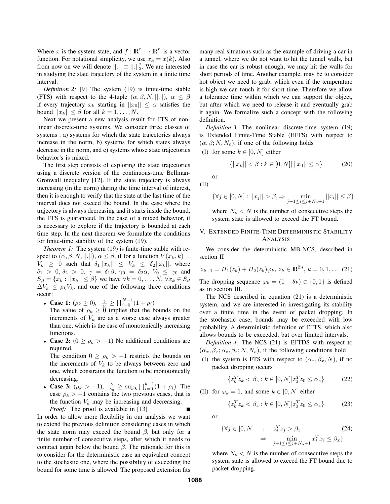Where x is the system state, and  $f : \mathbb{R}^n \to \mathbb{R}^n$  is a vector function. For notational simplicity, we use  $x_k = x(k)$ . Also from now on we will denote  $||.|| \equiv ||.||_2^2$ . We are interested in studying the state trajectory of the system in a finite time interval.

*Definition 2:* [9] The system (19) is finite-time stable (FTS) with respect to the 4-tuple  $(\alpha, \beta, N, ||.||)$ ,  $\alpha \leq \beta$ if every trajectory  $x_k$  starting in  $||x_0|| \leq \alpha$  satisfies the bound  $||x_k|| \leq \beta$  for all  $k = 1, \ldots, N$ .

Next we present a new analysis result for FTS of nonlinear discrete-time systems. We consider three classes of systems : a) systems for which the state trajectories always increase in the norm, b) systems for which states always decrease in the norm, and c) systems whose state trajectories behavior's is mixed.

The first step consists of exploring the state trajectories using a discrete version of the continuous-time Bellman-Gronwall inequality [12]. If the state trajectory is always increasing (in the norm) during the time interval of interest, then it is enough to verify that the state at the last time of the interval does not exceed the bound. In the case where the trajectory is always decreasing and it starts inside the bound, the FTS is guaranteed. In the case of a mixed behavior, it is necessary to explore if the trajectory is bounded at each time step. In the next theorem we formulate the conditions for finite-time stability of the system (19).

*Theorem 1:* The system (19) is finite-time stable with respect to  $(\alpha, \beta, N, ||.||)$ ,  $\alpha \leq \beta$ , if for a function  $V(x_k, k) =$  $V_k \geq 0$  such that  $\delta_1 ||x_k|| \leq V_k \leq \delta_2 ||x_k||$ , where  $\delta_1$  > 0,  $\delta_2$  > 0,  $\gamma = \delta_1\beta$ ,  $\gamma_0 = \delta_2\alpha$ ,  $V_0 \leq \gamma_0$  and  $S_{\beta} = \{x_k : ||x_k|| \leq \beta\}$  we have  $\forall k = 0, \dots, N, \forall x_k \in S_{\beta}$  $\Delta V_k \leq \rho_k V_k$ , and one of the following three conditions occur:

• **Case 1:**  $(\rho_k \ge 0)$ ,  $\frac{\gamma}{\gamma_0} \ge \prod_{i=0}^{N-1} (1 + \rho_i)$ <br>The value of  $\rho_i > 0$  implies that the h

The value of  $\rho_k \geq 0$  implies that the bounds on the increments of  $V_1$  are as a worse case always greater increments of  $V_k$  are as a worse case always greater than one, which is the case of monotonically increasing functions.

• **Case 2:**  $(0 \ge \rho_k > -1)$  No additional conditions are required.

The condition  $0 \ge \rho_k > -1$  restricts the bounds on the increments of  $V_k$  to be always between zero and one, which constrains the function to be monotonically decreasing.

• **Case 3:**  $(\rho_k > -1)$ ,  $\frac{\gamma}{\gamma_0} \ge \sup_k \prod_{i=0}^{k-1} (1 + \rho_i)$ . The case  $\rho_k > -1$  contains the two previous cases, that is the function  $V_k$  may be increasing and decreasing. *Proof:* The proof is available in [13] Г

In order to allow more flexibility in our analysis we want to extend the previous definition considering cases in which the state norm may exceed the bound  $\beta$ , but only for a finite number of consecutive steps, after which it needs to contract again below the bound  $\beta$ . The rationale for this is to consider for the deterministic case an equivalent concept to the stochastic one, where the possibility of exceeding the bound for some time is allowed. The proposed extension fits

many real situations such as the example of driving a car in a tunnel, where we do not want to hit the tunnel walls, but in case the car is robust enough, we may hit the walls for short periods of time. Another example, may be to consider hot object we need to grab, which even if the temperature is high we can touch it for short time. Therefore we allow a tolerance time within which we can support the object, but after which we need to release it and eventually grab it again. We formalize such a concept with the following definition.

*Definition 3:* The nonlinear discrete-time system (19) is Extended Finite-Time Stable (EFTS) with respect to  $(\alpha, \beta; N, N_o)$ , if one of the following holds

(I) for some  $k \in [0, N]$  either

$$
\{||x_k|| < \beta : k \in [0, N] \, ||x_0|| \le \alpha\} \tag{20}
$$

(II)

or

$$
\{\forall j \in [0, N] : ||x_j|| > \beta, \Rightarrow \min_{j+1 \le i \le j+N_o+1} ||x_i|| \le \beta\}
$$

where  $N<sub>o</sub> < N$  is the number of consecutive steps the system state is allowed to exceed the FT bound.

## V. EXTENDED FINITE-TIME DETERMINISTIC STABILITY ANALYSIS

We consider the deterministic MB-NCS, described in section II

$$
z_{k+1} = H_1(z_k) + H_2(z_k)\varphi_k, \, z_k \in \mathbb{R}^{2n}, \, k = 0, 1, \dots \text{ (21)}
$$

The dropping sequence  $\varphi_k = (1 - \theta_k) \in \{0, 1\}$  is defined as in section III.

The NCS described in equation (21) is a deterministic system, and we are interested in investigating its stability over a finite time in the event of packet dropping. In the stochastic case, bounds may be exceeded with low probability. A deterministic definition of EFTS, which also allows bounds to be exceeded, but over limited intervals.

*Definition 4:* The NCS (21) is EFTDS with respect to  $(\alpha_x, \beta_x; \alpha_z, \beta_z; N, N_o)$ , if the following conditions hold

(I) the system is FTS with respect to  $(\alpha_x, \beta_x, N)$ , if no packet dropping occurs

$$
\{z_k^T z_k < \beta_z : k \in [0, N] | z_0^T z_0 \le \alpha_z \} \tag{22}
$$

(II) for  $\varphi_k = 1$ , and some  $k \in [0, N]$  either

$$
\{z_k^T z_k < \beta_z : k \in [0, N] | z_0^T z_0 \le \alpha_z \} \tag{23}
$$

or

$$
\begin{aligned} \{\forall j \in [0, N] & \quad : \quad z_j^T z_j > \beta_z \quad (24) \\ & \Rightarrow \quad \min_{j+1 \le i \le j+N_o+1} x_i^T x_i \le \beta_x \} \end{aligned}
$$

where  $N<sub>o</sub> < N$  is the number of consecutive steps the system state is allowed to exceed the FT bound due to packet dropping.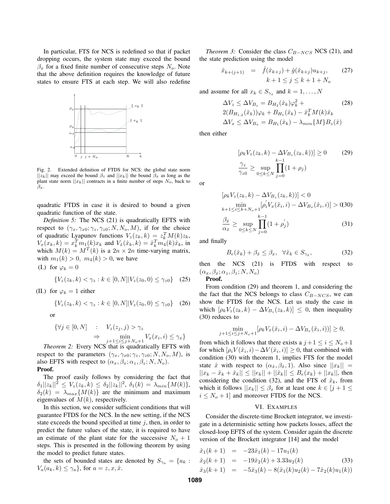In particular, FTS for NCS is redefined so that if packet dropping occurs, the system state may exceed the bound  $\beta_x$  for a fixed finite number of consecutive steps  $N_o$ . Note that the above definition requires the knowledge of future states to ensure FTS at each step. We will also redefine



Fig. 2. Extended definition of FTDS for NCS: the global state norm  $||z_k||$  may exceed the bound  $\beta_z$  and  $||x_k||$  the bound  $\beta_x$  as long as the plant state norm  $||x_k||$  contracts in a finite number of steps  $N_o$ , back to  $\beta_x$ .

quadratic FTDS in case it is desired to bound a given quadratic function of the state.

*Definition 5:* The NCS (21) is quadratically EFTS with respect to  $(\gamma_x, \gamma_{x0}; \gamma_z, \gamma_{z0}; N, N_o, M)$ , if for the choice of quadratic Lyapunov functions  $V_z(z_k, k) = z_k^T M(k)z_k$ ,<br> $V(x, k) = x_k^T m_z(k)x$ , and  $V_z(\hat{x}, k) = \hat{x}_k^T m_z(k)\hat{x}$ , in  $V_x(x_k, k) = x_k^T m_1(k) x_k$  and  $V_{\hat{x}}(\hat{x}_k, k) = \hat{x}_k^T m_4(k) \hat{x}_k$ , in which  $M(k) = M^T(k)$  is a  $2n \times 2n$  time-varying matrix which  $M(k) = M<sup>T</sup>(k)$  is a  $2n \times 2n$  time-varying matrix, with  $m_1(k) > 0$ ,  $m_4(k) > 0$ , we have

(I.) for  $\varphi_k = 0$ 

$$
\{V_z(z_k, k) < \gamma_z : k \in [0, N] \mid V_z(z_0, 0) \le \gamma_{z0}\} \tag{25}
$$

(II.) for  $\varphi_k = 1$  either

$$
\{V_z(z_k, k) < \gamma_z : k \in [0, N] \mid V_z(z_0, 0) \le \gamma_{z0}\} \tag{26}
$$

or

$$
\{\forall j \in [0, N] : V_z(z_j, j) > \gamma_z
$$
  
\n
$$
\Rightarrow \min_{j+1 \le i \le j+N_o+1} V_x(x_i, i) \le \gamma_x\}
$$

*Theorem 2:* Every NCS that is quadratically EFTS with respect to the parameters  $(\gamma_x, \gamma_{x0}; \gamma_z, \gamma_{z0}; N, N_o, M)$ , is also EFTS with respect to  $(\alpha_x, \beta_x; \alpha_z, \beta_z; N, N_o)$ . **Proof.**

The proof easily follows by considering the fact that  $\delta_1||z_k||^2 \leq V_z(z_k,k) \leq \delta_2||z_k||^2, \ \delta_1(k) = \lambda_{min}\{M(k)\},\$  $\delta_2(k) = \lambda_{max} \{ M(k) \}$  are the minimum and maximum eigenvalues of  $M(k)$ , respectively.

In this section, we consider sufficient conditions that will guarantee FTDS for the NCS. In the new setting, if the NCS state exceeds the bound specified at time  $j$ , then, in order to predict the future values of the state, it is required to have an estimate of the plant state for the successive  $N_o + 1$ steps. This is presented in the following theorem by using the model to predict future states.

the sets of bounded states are denoted by  $S_{\gamma_a} = \{a_k :$  $V_a(a_k, k) \leq \gamma_a$ , for  $a = z, x, \hat{x}$ .

*Theorem 3:* Consider the class  $C_{B-NCS}$  NCS (21), and the state prediction using the model

$$
\hat{x}_{k+(j+1)} = \hat{f}(\hat{x}_{k+j}) + \hat{g}(\hat{x}_{k+j})u_{k+j},
$$
\n
$$
k+1 \le j \le k+1+N_o
$$
\n(27)

and assume for all  $x_k \in S_{\gamma_x}$  and  $k = 1, \ldots, N$ 

$$
\Delta V_z \le \Delta V_{B_z} = B_{H_2}(\hat{x}_k)\varphi_k^2 +
$$
\n
$$
2(B_{H_{1,2}}(\hat{x}_k))\varphi_k + B_{H_1}(\hat{x}_k) - \hat{x}_k^T M(k)\hat{x}_k
$$
\n
$$
\Delta V_x \le \Delta V_{B_x} = B_{H_1}(\hat{x}_k) - \lambda_{min}\{M\}B_z(\hat{x})
$$

then either

$$
[\rho_k V_z(z_k, k) - \Delta V_{B_z}(z_k, k))] \ge 0
$$
 (29)  

$$
\frac{\gamma_z}{\gamma_{z0}} \ge \sup_{0 \le k \le N} \prod_{j=0}^{k-1} (1 + \rho_j)
$$

or

$$
[\rho_k V_z(z_k, k) - \Delta V_{B_z}(z_k, k))] < 0
$$
  
\n
$$
\min_{k+1 \le i \le k+N_0+1} [\rho_i' V_x(\hat{x}_i, i) - \Delta V_{B_x}(\hat{x}_i, i)] > 0
$$
  
\n
$$
\frac{\beta_{\hat{x}}}{\alpha_{\hat{x}}} \ge \sup_{0 \le k \le N} \prod_{j=0}^{k-1} (1 + \rho_j')
$$
 (31)

and finally

$$
B_e(\hat{x}_k) + \beta_{\hat{x}} \le \beta_x, \quad \forall \hat{x}_k \in S_{\gamma_{\hat{x}}}, \tag{32}
$$

then the NCS (21) is FTDS with respect to  $(\alpha_x, \beta_x; \alpha_z, \beta_z; N, N_o)$ 

**Proof.**

From condition (29) and theorem 1, and considering the the fact that the NCS belongs to class  $C_{B-NCS}$ , we can show the FTDS for the NCS. Let us study the case in which  $[\rho_k V_z(z_k, k) - \Delta V_{B_z}(z_k, k)] \leq 0$ , then inequality (30) reduces to

$$
\min_{j+1 \le i \le j+N_o+1} [\rho_k V_x(\hat{x}_i, i) - \Delta V_{B_x}(\hat{x}_i, i))] \ge 0,
$$

from which it follows that there exists a  $j+1 \leq i \leq N_o+1$ for which  $[\rho_i V(\hat{x}_i, i) - \Delta V(\hat{x}_i, i)] \geq 0$ , that combined with condition (30) with theorem 1, implies FTS for the model state  $\hat{x}$  with respect to  $(\alpha_{\hat{x}}, \beta_{\hat{x}}, 1)$ . Also since  $||x_k|| =$  $||x_k - \hat{x}_k + \hat{x}_k|| \le ||e_k|| + ||\hat{x}_k|| \le B_e(x_k) + ||x_k||$ , then considering the condition (32), and the FTS of  $\hat{x}_k$ , from which it follows  $||x_k|| \leq \beta_x$  for at least one  $k \in [j + 1]$  $i \leq N_o + 1$  and moreover FTDS for the NCS.

#### VI. EXAMPLES

Consider the discrete-time Brockett integrator, we investigate in a deterministic setting how packets losses, affect the closed-loop EFTS of the system. Consider again the discrete version of the Brockett integrator [14] and the model

$$
\begin{aligned}\n\hat{x}_1(k+1) &= -23\hat{x}_1(k) - 17u_1(k) \\
\hat{x}_2(k+1) &= -19\hat{x}_2(k) + 3.33u_2(k) \\
\hat{x}_3(k+1) &= -5\hat{x}_3(k) - 8(\hat{x}_1(k)u_2(k) - 7\hat{x}_2(k)u_1(k))\n\end{aligned} \tag{33}
$$